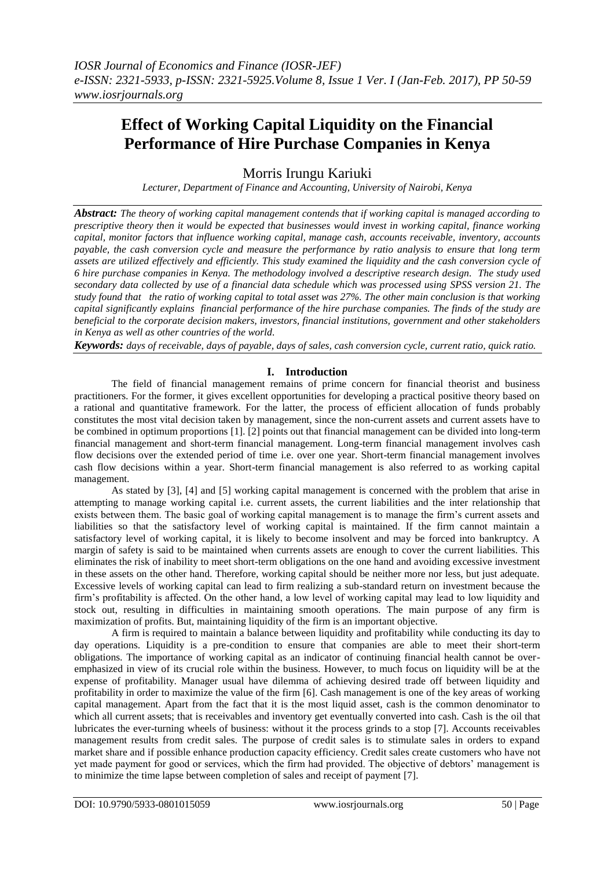# **Effect of Working Capital Liquidity on the Financial Performance of Hire Purchase Companies in Kenya**

Morris Irungu Kariuki

*Lecturer, Department of Finance and Accounting, University of Nairobi, Kenya*

*Abstract: The theory of working capital management contends that if working capital is managed according to prescriptive theory then it would be expected that businesses would invest in working capital, finance working capital, monitor factors that influence working capital, manage cash, accounts receivable, inventory, accounts payable, the cash conversion cycle and measure the performance by ratio analysis to ensure that long term assets are utilized effectively and efficiently. This study examined the liquidity and the cash conversion cycle of 6 hire purchase companies in Kenya. The methodology involved a descriptive research design. The study used secondary data collected by use of a financial data schedule which was processed using SPSS version 21. The study found that the ratio of working capital to total asset was 27%. The other main conclusion is that working capital significantly explains financial performance of the hire purchase companies. The finds of the study are beneficial to the corporate decision makers, investors, financial institutions, government and other stakeholders in Kenya as well as other countries of the world.*

*Keywords: days of receivable, days of payable, days of sales, cash conversion cycle, current ratio, quick ratio.*

## **I. Introduction**

The field of financial management remains of prime concern for financial theorist and business practitioners. For the former, it gives excellent opportunities for developing a practical positive theory based on a rational and quantitative framework. For the latter, the process of efficient allocation of funds probably constitutes the most vital decision taken by management, since the non-current assets and current assets have to be combined in optimum proportions [1]. [2] points out that financial management can be divided into long-term financial management and short-term financial management. Long-term financial management involves cash flow decisions over the extended period of time i.e. over one year. Short-term financial management involves cash flow decisions within a year. Short-term financial management is also referred to as working capital management.

As stated by [3], [4] and [5] working capital management is concerned with the problem that arise in attempting to manage working capital i.e. current assets, the current liabilities and the inter relationship that exists between them. The basic goal of working capital management is to manage the firm's current assets and liabilities so that the satisfactory level of working capital is maintained. If the firm cannot maintain a satisfactory level of working capital, it is likely to become insolvent and may be forced into bankruptcy. A margin of safety is said to be maintained when currents assets are enough to cover the current liabilities. This eliminates the risk of inability to meet short-term obligations on the one hand and avoiding excessive investment in these assets on the other hand. Therefore, working capital should be neither more nor less, but just adequate. Excessive levels of working capital can lead to firm realizing a sub-standard return on investment because the firm's profitability is affected. On the other hand, a low level of working capital may lead to low liquidity and stock out, resulting in difficulties in maintaining smooth operations. The main purpose of any firm is maximization of profits. But, maintaining liquidity of the firm is an important objective.

A firm is required to maintain a balance between liquidity and profitability while conducting its day to day operations. Liquidity is a pre-condition to ensure that companies are able to meet their short-term obligations. The importance of working capital as an indicator of continuing financial health cannot be overemphasized in view of its crucial role within the business. However, to much focus on liquidity will be at the expense of profitability. Manager usual have dilemma of achieving desired trade off between liquidity and profitability in order to maximize the value of the firm [6]. Cash management is one of the key areas of working capital management. Apart from the fact that it is the most liquid asset, cash is the common denominator to which all current assets; that is receivables and inventory get eventually converted into cash. Cash is the oil that lubricates the ever-turning wheels of business: without it the process grinds to a stop [7]. Accounts receivables management results from credit sales. The purpose of credit sales is to stimulate sales in orders to expand market share and if possible enhance production capacity efficiency. Credit sales create customers who have not yet made payment for good or services, which the firm had provided. The objective of debtors' management is to minimize the time lapse between completion of sales and receipt of payment [7].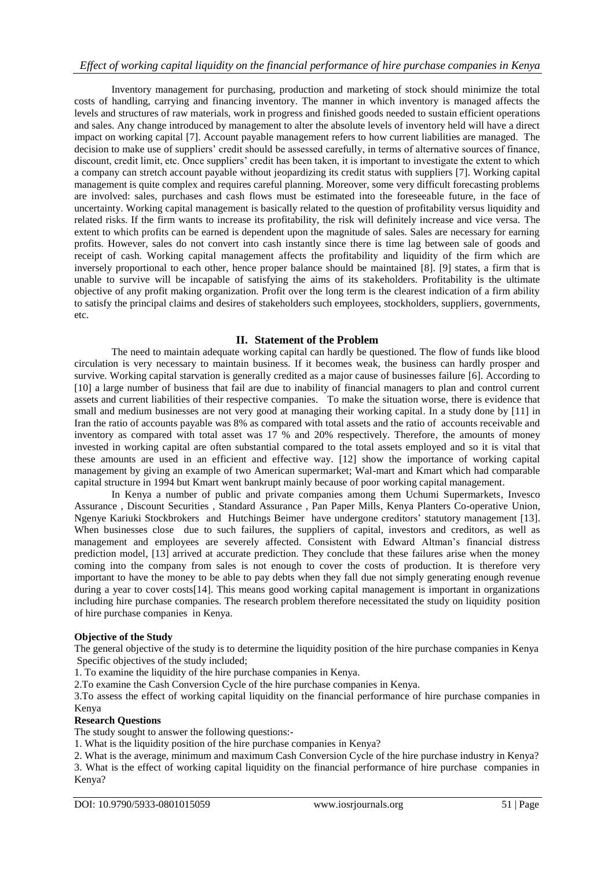Inventory management for purchasing, production and marketing of stock should minimize the total costs of handling, carrying and financing inventory. The manner in which inventory is managed affects the levels and structures of raw materials, work in progress and finished goods needed to sustain efficient operations and sales. Any change introduced by management to alter the absolute levels of inventory held will have a direct impact on working capital [7]. Account payable management refers to how current liabilities are managed. The decision to make use of suppliers' credit should be assessed carefully, in terms of alternative sources of finance, discount, credit limit, etc. Once suppliers' credit has been taken, it is important to investigate the extent to which a company can stretch account payable without jeopardizing its credit status with suppliers [7]. Working capital management is quite complex and requires careful planning. Moreover, some very difficult forecasting problems are involved: sales, purchases and cash flows must be estimated into the foreseeable future, in the face of uncertainty. Working capital management is basically related to the question of profitability versus liquidity and related risks. If the firm wants to increase its profitability, the risk will definitely increase and vice versa. The extent to which profits can be earned is dependent upon the magnitude of sales. Sales are necessary for earning profits. However, sales do not convert into cash instantly since there is time lag between sale of goods and receipt of cash. Working capital management affects the profitability and liquidity of the firm which are inversely proportional to each other, hence proper balance should be maintained [8]. [9] states, a firm that is unable to survive will be incapable of satisfying the aims of its stakeholders. Profitability is the ultimate objective of any profit making organization. Profit over the long term is the clearest indication of a firm ability to satisfy the principal claims and desires of stakeholders such employees, stockholders, suppliers, governments, etc.

## **II. Statement of the Problem**

The need to maintain adequate working capital can hardly be questioned. The flow of funds like blood circulation is very necessary to maintain business. If it becomes weak, the business can hardly prosper and survive. Working capital starvation is generally credited as a major cause of businesses failure [6]. According to [10] a large number of business that fail are due to inability of financial managers to plan and control current assets and current liabilities of their respective companies. To make the situation worse, there is evidence that small and medium businesses are not very good at managing their working capital. In a study done by [11] in Iran the ratio of accounts payable was 8% as compared with total assets and the ratio of accounts receivable and inventory as compared with total asset was 17 % and 20% respectively. Therefore, the amounts of money invested in working capital are often substantial compared to the total assets employed and so it is vital that these amounts are used in an efficient and effective way. [12] show the importance of working capital management by giving an example of two American supermarket; Wal-mart and Kmart which had comparable capital structure in 1994 but Kmart went bankrupt mainly because of poor working capital management.

In Kenya a number of public and private companies among them Uchumi Supermarkets, Invesco Assurance , Discount Securities , Standard Assurance , Pan Paper Mills, Kenya Planters Co-operative Union, Ngenye Kariuki Stockbrokers and Hutchings Beimer have undergone creditors' statutory management [13]. When businesses close due to such failures, the suppliers of capital, investors and creditors, as well as management and employees are severely affected. Consistent with Edward Altman's financial distress prediction model, [13] arrived at accurate prediction. They conclude that these failures arise when the money coming into the company from sales is not enough to cover the costs of production. It is therefore very important to have the money to be able to pay debts when they fall due not simply generating enough revenue during a year to cover costs[14]. This means good working capital management is important in organizations including hire purchase companies. The research problem therefore necessitated the study on liquidity position of hire purchase companies in Kenya.

## **Objective of the Study**

The general objective of the study is to determine the liquidity position of the hire purchase companies in Kenya Specific objectives of the study included;

1. To examine the liquidity of the hire purchase companies in Kenya.

2.To examine the Cash Conversion Cycle of the hire purchase companies in Kenya.

3.To assess the effect of working capital liquidity on the financial performance of hire purchase companies in Kenya

## **Research Questions**

The study sought to answer the following questions:-

1. What is the liquidity position of the hire purchase companies in Kenya?

2. What is the average, minimum and maximum Cash Conversion Cycle of the hire purchase industry in Kenya? 3. What is the effect of working capital liquidity on the financial performance of hire purchase companies in Kenya?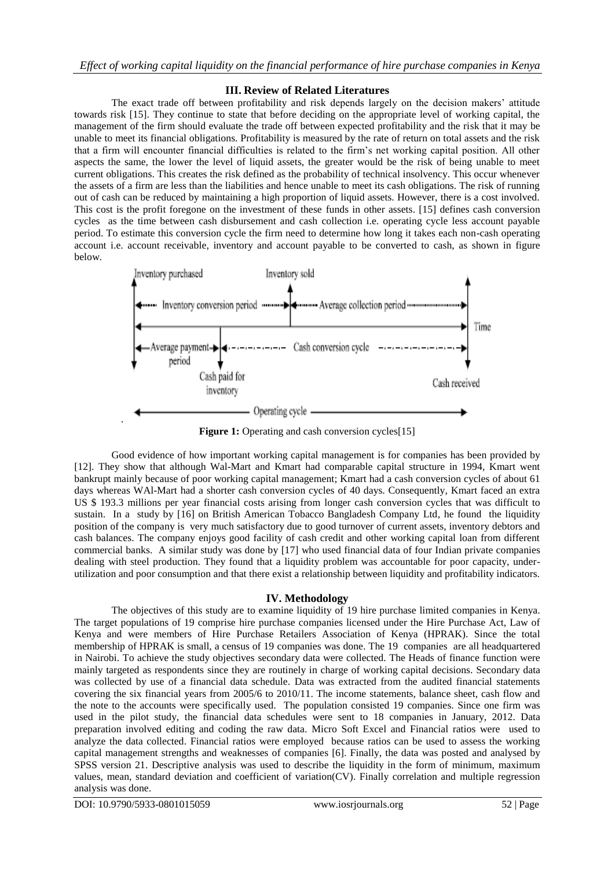## **III. Review of Related Literatures**

The exact trade off between profitability and risk depends largely on the decision makers' attitude towards risk [15]. They continue to state that before deciding on the appropriate level of working capital, the management of the firm should evaluate the trade off between expected profitability and the risk that it may be unable to meet its financial obligations. Profitability is measured by the rate of return on total assets and the risk that a firm will encounter financial difficulties is related to the firm's net working capital position. All other aspects the same, the lower the level of liquid assets, the greater would be the risk of being unable to meet current obligations. This creates the risk defined as the probability of technical insolvency. This occur whenever the assets of a firm are less than the liabilities and hence unable to meet its cash obligations. The risk of running out of cash can be reduced by maintaining a high proportion of liquid assets. However, there is a cost involved. This cost is the profit foregone on the investment of these funds in other assets. [15] defines cash conversion cycles as the time between cash disbursement and cash collection i.e. operating cycle less account payable period. To estimate this conversion cycle the firm need to determine how long it takes each non-cash operating account i.e. account receivable, inventory and account payable to be converted to cash, as shown in figure below.



**Figure 1:** Operating and cash conversion cycles<sup>[15]</sup>

Good evidence of how important working capital management is for companies has been provided by [12]. They show that although Wal-Mart and Kmart had comparable capital structure in 1994, Kmart went bankrupt mainly because of poor working capital management; Kmart had a cash conversion cycles of about 61 days whereas WAl-Mart had a shorter cash conversion cycles of 40 days. Consequently, Kmart faced an extra US \$ 193.3 millions per year financial costs arising from longer cash conversion cycles that was difficult to sustain. In a study by [16] on British American Tobacco Bangladesh Company Ltd, he found the liquidity position of the company is very much satisfactory due to good turnover of current assets, inventory debtors and cash balances. The company enjoys good facility of cash credit and other working capital loan from different commercial banks. A similar study was done by [17] who used financial data of four Indian private companies dealing with steel production. They found that a liquidity problem was accountable for poor capacity, underutilization and poor consumption and that there exist a relationship between liquidity and profitability indicators.

## **IV. Methodology**

The objectives of this study are to examine liquidity of 19 hire purchase limited companies in Kenya. The target populations of 19 comprise hire purchase companies licensed under the Hire Purchase Act, Law of Kenya and were members of Hire Purchase Retailers Association of Kenya (HPRAK). Since the total membership of HPRAK is small, a census of 19 companies was done. The 19 companies are all headquartered in Nairobi. To achieve the study objectives secondary data were collected. The Heads of finance function were mainly targeted as respondents since they are routinely in charge of working capital decisions. Secondary data was collected by use of a financial data schedule. Data was extracted from the audited financial statements covering the six financial years from 2005/6 to 2010/11. The income statements, balance sheet, cash flow and the note to the accounts were specifically used. The population consisted 19 companies. Since one firm was used in the pilot study, the financial data schedules were sent to 18 companies in January, 2012. Data preparation involved editing and coding the raw data. Micro Soft Excel and Financial ratios were used to analyze the data collected. Financial ratios were employed because ratios can be used to assess the working capital management strengths and weaknesses of companies [6]. Finally, the data was posted and analysed by SPSS version 21. Descriptive analysis was used to describe the liquidity in the form of minimum, maximum values, mean, standard deviation and coefficient of variation(CV). Finally correlation and multiple regression analysis was done.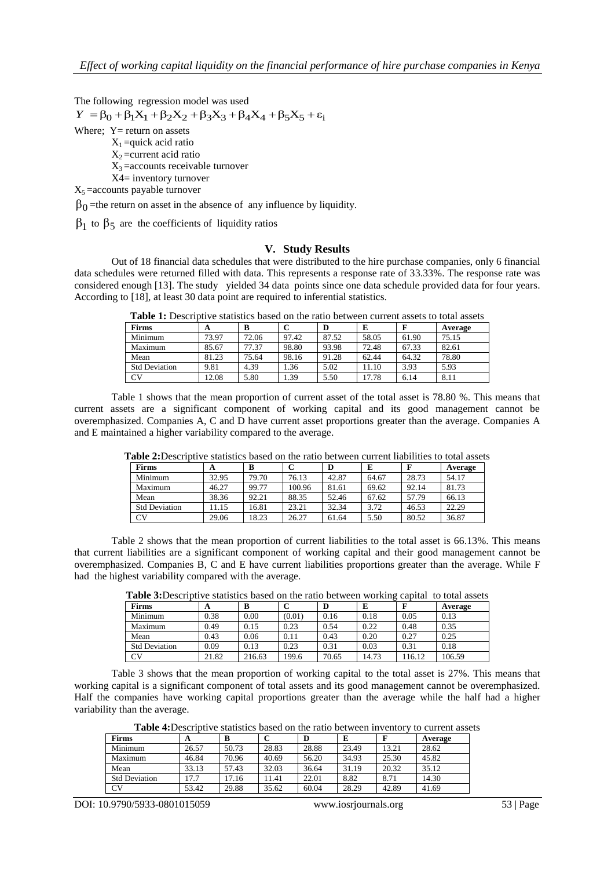The following regression model was used

 $Y = \beta_0 + \beta_1 X_1 + \beta_2 X_2 + \beta_3 X_3 + \beta_4 X_4 + \beta_5 X_5 + \varepsilon_7$ Where;  $Y=$  return on assets  $X_1$  =quick acid ratio  $X_2$ =current acid ratio  $X_3$  = accounts receivable turnover X4= inventory turnover  $X_5$  = accounts payable turnover

 $\beta_0$ =the return on asset in the absence of any influence by liquidity.

 $\beta_1$  to  $\beta_5$  are the coefficients of liquidity ratios

#### **V. Study Results**

Out of 18 financial data schedules that were distributed to the hire purchase companies, only 6 financial data schedules were returned filled with data. This represents a response rate of 33.33%. The response rate was considered enough [13]. The study yielded 34 data points since one data schedule provided data for four years. According to [18], at least 30 data point are required to inferential statistics.

| Table 1. Describitve statistics based on the ratio between current assets to total assets |       |       |       |       |       |       |         |  |  |  |
|-------------------------------------------------------------------------------------------|-------|-------|-------|-------|-------|-------|---------|--|--|--|
| <b>Firms</b>                                                                              |       |       |       |       |       |       | Average |  |  |  |
| Minimum                                                                                   | 73.97 | 72.06 | 97.42 | 87.52 | 58.05 | 61.90 | 75.15   |  |  |  |
| Maximum                                                                                   | 85.67 | 77.37 | 98.80 | 93.98 | 72.48 | 67.33 | 82.61   |  |  |  |
| Mean                                                                                      | 81.23 | 75.64 | 98.16 | 91.28 | 62.44 | 64.32 | 78.80   |  |  |  |
| <b>Std Deviation</b>                                                                      | 9.81  | 4.39  | .36   | 5.02  | 11.10 | 3.93  | 5.93    |  |  |  |

CV 12.08 5.80 1.39 5.50 17.78 6.14 8.11

**Table 1:** Descriptive statistics based on the ratio between current assets to total assets

Table 1 shows that the mean proportion of current asset of the total asset is 78.80 %. This means that current assets are a significant component of working capital and its good management cannot be overemphasized. Companies A, C and D have current asset proportions greater than the average. Companies A and E maintained a higher variability compared to the average.

| <b>Firms</b>         | $\blacktriangle$ | в     |        | D     |       |       | Average |
|----------------------|------------------|-------|--------|-------|-------|-------|---------|
| Minimum              | 32.95            | 79.70 | 76.13  | 42.87 | 64.67 | 28.73 | 54.17   |
| Maximum              | 46.27            | 99.77 | 100.96 | 81.61 | 69.62 | 92.14 | 81.73   |
| Mean                 | 38.36            | 92.21 | 88.35  | 52.46 | 67.62 | 57.79 | 66.13   |
| <b>Std Deviation</b> | 11.15            | 16.81 | 23.21  | 32.34 | 3.72  | 46.53 | 22.29   |
| CV                   | 29.06            | 18.23 | 26.27  | 61.64 | 5.50  | 80.52 | 36.87   |

**Table 2:**Descriptive statistics based on the ratio between current liabilities to total assets

Table 2 shows that the mean proportion of current liabilities to the total asset is 66.13%. This means that current liabilities are a significant component of working capital and their good management cannot be overemphasized. Companies B, C and E have current liabilities proportions greater than the average. While F had the highest variability compared with the average.

**Table 3:**Descriptive statistics based on the ratio between working capital to total assets

| <b>Firms</b>         | A     | в      |        |       | E     | ю      | Average |
|----------------------|-------|--------|--------|-------|-------|--------|---------|
| Minimum              | 0.38  | 0.00   | (0.01) | 0.16  | 0.18  | 0.05   | 0.13    |
| Maximum              | 0.49  | 0.15   | 0.23   | 0.54  | 0.22  | 0.48   | 0.35    |
| Mean                 | 0.43  | 0.06   | 0.11   | 0.43  | 0.20  | 0.27   | 0.25    |
| <b>Std Deviation</b> | 0.09  | 0.13   | 0.23   | 0.31  | 0.03  | 0.31   | 0.18    |
| <b>CV</b>            | 21.82 | 216.63 | 199.6  | 70.65 | 14.73 | 116.12 | 106.59  |

Table 3 shows that the mean proportion of working capital to the total asset is 27%. This means that working capital is a significant component of total assets and its good management cannot be overemphasized. Half the companies have working capital proportions greater than the average while the half had a higher variability than the average.

**Table 4:**Descriptive statistics based on the ratio between inventory to current assets

| <b>Firms</b>         | A     | B     |       | D     | E     |       | Average |
|----------------------|-------|-------|-------|-------|-------|-------|---------|
| Minimum              | 26.57 | 50.73 | 28.83 | 28.88 | 23.49 | 13.21 | 28.62   |
| Maximum              | 46.84 | 70.96 | 40.69 | 56.20 | 34.93 | 25.30 | 45.82   |
| Mean                 | 33.13 | 57.43 | 32.03 | 36.64 | 31.19 | 20.32 | 35.12   |
| <b>Std Deviation</b> | 17.7  | 17.16 | 1.41  | 22.01 | 8.82  | 8.71  | 14.30   |
| CV                   | 53.42 | 29.88 | 35.62 | 60.04 | 28.29 | 42.89 | 41.69   |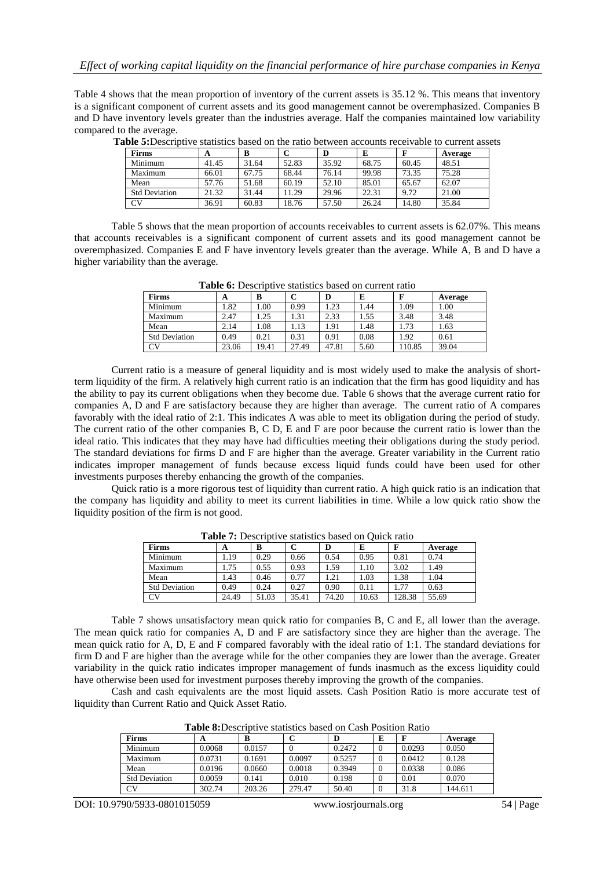Table 4 shows that the mean proportion of inventory of the current assets is 35.12 %. This means that inventory is a significant component of current assets and its good management cannot be overemphasized. Companies B and D have inventory levels greater than the industries average. Half the companies maintained low variability compared to the average.

| <b>Firms</b>         | A     | B     |       | D     | E     |       | Average |
|----------------------|-------|-------|-------|-------|-------|-------|---------|
| Minimum              | 41.45 | 31.64 | 52.83 | 35.92 | 68.75 | 60.45 | 48.51   |
| Maximum              | 66.01 | 67.75 | 68.44 | 76.14 | 99.98 | 73.35 | 75.28   |
| Mean                 | 57.76 | 51.68 | 60.19 | 52.10 | 85.01 | 65.67 | 62.07   |
| <b>Std Deviation</b> | 21.32 | 31.44 | 11.29 | 29.96 | 22.31 | 9.72  | 21.00   |
| <b>CV</b>            | 36.91 | 60.83 | 18.76 | 57.50 | 26.24 | 14.80 | 35.84   |

**Table 5:**Descriptive statistics based on the ratio between accounts receivable to current assets

Table 5 shows that the mean proportion of accounts receivables to current assets is 62.07%. This means that accounts receivables is a significant component of current assets and its good management cannot be overemphasized. Companies E and F have inventory levels greater than the average. While A, B and D have a higher variability than the average.

| THING OF DOUGLING TO DRIVING ORDER OIL CHILDIII IRRIO |       |       |       |       |      |        |         |  |  |  |
|-------------------------------------------------------|-------|-------|-------|-------|------|--------|---------|--|--|--|
| <b>Firms</b>                                          | A     | в     |       | D     | E    |        | Average |  |  |  |
| Minimum                                               | . 82  | 00.1  | 0.99  | 1.23  | .44  | 1.09   | 1.00    |  |  |  |
| Maximum                                               | 2.47  | .25   | 1.31  | 2.33  | l.55 | 3.48   | 3.48    |  |  |  |
| Mean                                                  | 2.14  | 1.08  | 1.13  | 1.91  | l.48 | 1.73   | 1.63    |  |  |  |
| <b>Std Deviation</b>                                  | 0.49  | 0.21  | 0.31  | 0.91  | 0.08 | 1.92   | 0.61    |  |  |  |
| CV                                                    | 23.06 | 19.41 | 27.49 | 47.81 | 5.60 | 110.85 | 39.04   |  |  |  |

Table 6: Descriptive statistics based on current ratio

Current ratio is a measure of general liquidity and is most widely used to make the analysis of shortterm liquidity of the firm. A relatively high current ratio is an indication that the firm has good liquidity and has the ability to pay its current obligations when they become due. Table 6 shows that the average current ratio for companies A, D and F are satisfactory because they are higher than average. The current ratio of A compares favorably with the ideal ratio of 2:1. This indicates A was able to meet its obligation during the period of study. The current ratio of the other companies B, C D, E and F are poor because the current ratio is lower than the ideal ratio. This indicates that they may have had difficulties meeting their obligations during the study period. The standard deviations for firms D and F are higher than the average. Greater variability in the Current ratio indicates improper management of funds because excess liquid funds could have been used for other investments purposes thereby enhancing the growth of the companies.

Quick ratio is a more rigorous test of liquidity than current ratio. A high quick ratio is an indication that the company has liquidity and ability to meet its current liabilities in time. While a low quick ratio show the liquidity position of the firm is not good.

| A     | B     |       | D     | E     |        | Average                                              |  |  |  |  |
|-------|-------|-------|-------|-------|--------|------------------------------------------------------|--|--|--|--|
| 1.19  | 0.29  | 0.66  | 0.54  | 0.95  | 0.81   | 0.74                                                 |  |  |  |  |
| 1.75  | 0.55  | 0.93  | 1.59  | 1.10  | 3.02   | 1.49                                                 |  |  |  |  |
| 1.43  | 0.46  | 0.77  | 1.21  | 1.03  | 1.38   | 1.04                                                 |  |  |  |  |
| 0.49  | 0.24  | 0.27  | 0.90  | 0.11  | 1.77   | 0.63                                                 |  |  |  |  |
| 24.49 | 51.03 | 35.41 | 74.20 | 10.63 | 128.38 | 55.69                                                |  |  |  |  |
|       |       |       |       |       |        | Tuble 14 Descriptive statistics cased on Calen ratio |  |  |  |  |

**Table 7:** Descriptive statistics based on Ouick ratio

Table 7 shows unsatisfactory mean quick ratio for companies B, C and E, all lower than the average. The mean quick ratio for companies A, D and F are satisfactory since they are higher than the average. The mean quick ratio for A, D, E and F compared favorably with the ideal ratio of 1:1. The standard deviations for firm D and F are higher than the average while for the other companies they are lower than the average. Greater variability in the quick ratio indicates improper management of funds inasmuch as the excess liquidity could have otherwise been used for investment purposes thereby improving the growth of the companies.

Cash and cash equivalents are the most liquid assets. Cash Position Ratio is more accurate test of liquidity than Current Ratio and Quick Asset Ratio.

| THORY OID COCHOUT COMMONO CHOCH ON CHON I ODINON IMMO |        |        |        |        |   |        |         |  |  |  |
|-------------------------------------------------------|--------|--------|--------|--------|---|--------|---------|--|--|--|
| <b>Firms</b>                                          | A      | в      |        | D      | E |        | Average |  |  |  |
| Minimum                                               | 0.0068 | 0.0157 |        | 0.2472 |   | 0.0293 | 0.050   |  |  |  |
| Maximum                                               | 0.0731 | 0.1691 | 0.0097 | 0.5257 |   | 0.0412 | 0.128   |  |  |  |
| Mean                                                  | 0.0196 | 0.0660 | 0.0018 | 0.3949 |   | 0.0338 | 0.086   |  |  |  |
| <b>Std Deviation</b>                                  | 0.0059 | 0.141  | 0.010  | 0.198  |   | 0.01   | 0.070   |  |  |  |
| CV                                                    | 302.74 | 203.26 | 279.47 | 50.40  |   | 31.8   | 144.611 |  |  |  |

**Table 8:**Descriptive statistics based on Cash Position Ratio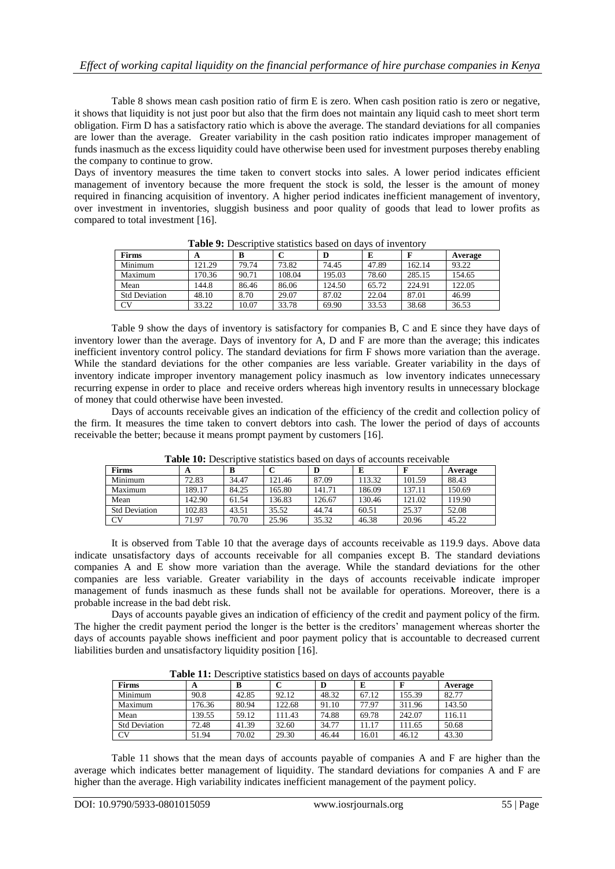Table 8 shows mean cash position ratio of firm E is zero. When cash position ratio is zero or negative, it shows that liquidity is not just poor but also that the firm does not maintain any liquid cash to meet short term obligation. Firm D has a satisfactory ratio which is above the average. The standard deviations for all companies are lower than the average. Greater variability in the cash position ratio indicates improper management of funds inasmuch as the excess liquidity could have otherwise been used for investment purposes thereby enabling the company to continue to grow.

Days of inventory measures the time taken to convert stocks into sales. A lower period indicates efficient management of inventory because the more frequent the stock is sold, the lesser is the amount of money required in financing acquisition of inventory. A higher period indicates inefficient management of inventory, over investment in inventories, sluggish business and poor quality of goods that lead to lower profits as compared to total investment [16].

| A WALLET A LA WARRANTE A MARIA MARIA MARIA MARIA MARIA WALIOZA |        |       |        |        |       |        |         |  |  |  |  |
|----------------------------------------------------------------|--------|-------|--------|--------|-------|--------|---------|--|--|--|--|
| <b>Firms</b>                                                   | A      | B     |        |        | E     |        | Average |  |  |  |  |
| Minimum                                                        | 121.29 | 79.74 | 73.82  | 74.45  | 47.89 | 162.14 | 93.22   |  |  |  |  |
| Maximum                                                        | 170.36 | 90.71 | 108.04 | 195.03 | 78.60 | 285.15 | 154.65  |  |  |  |  |
| Mean                                                           | 144.8  | 86.46 | 86.06  | 124.50 | 65.72 | 224.91 | 122.05  |  |  |  |  |
| <b>Std Deviation</b>                                           | 48.10  | 8.70  | 29.07  | 87.02  | 22.04 | 87.01  | 46.99   |  |  |  |  |
| CV                                                             | 33.22  | 10.07 | 33.78  | 69.90  | 33.53 | 38.68  | 36.53   |  |  |  |  |

**Table 9:** Descriptive statistics based on days of inventory

Table 9 show the days of inventory is satisfactory for companies B, C and E since they have days of inventory lower than the average. Days of inventory for A, D and F are more than the average; this indicates inefficient inventory control policy. The standard deviations for firm F shows more variation than the average. While the standard deviations for the other companies are less variable. Greater variability in the days of inventory indicate improper inventory management policy inasmuch as low inventory indicates unnecessary recurring expense in order to place and receive orders whereas high inventory results in unnecessary blockage of money that could otherwise have been invested.

Days of accounts receivable gives an indication of the efficiency of the credit and collection policy of the firm. It measures the time taken to convert debtors into cash. The lower the period of days of accounts receivable the better; because it means prompt payment by customers [16].

| <b>Firms</b>         | A      | в     |        |        |        |        | Average |  |  |  |  |
|----------------------|--------|-------|--------|--------|--------|--------|---------|--|--|--|--|
| Minimum              | 72.83  | 34.47 | 121.46 | 87.09  | 113.32 | 101.59 | 88.43   |  |  |  |  |
| Maximum              | 189.17 | 84.25 | 165.80 | 141.71 | 186.09 | 137.11 | 150.69  |  |  |  |  |
| Mean                 | 142.90 | 61.54 | 136.83 | 126.67 | 130.46 | 121.02 | 119.90  |  |  |  |  |
| <b>Std Deviation</b> | 102.83 | 43.51 | 35.52  | 44.74  | 60.51  | 25.37  | 52.08   |  |  |  |  |
| <b>CV</b>            | 71.97  | 70.70 | 25.96  | 35.32  | 46.38  | 20.96  | 45.22   |  |  |  |  |

**Table 10:** Descriptive statistics based on days of accounts receivable

It is observed from Table 10 that the average days of accounts receivable as 119.9 days. Above data indicate unsatisfactory days of accounts receivable for all companies except B. The standard deviations companies A and E show more variation than the average. While the standard deviations for the other companies are less variable. Greater variability in the days of accounts receivable indicate improper management of funds inasmuch as these funds shall not be available for operations. Moreover, there is a probable increase in the bad debt risk.

Days of accounts payable gives an indication of efficiency of the credit and payment policy of the firm. The higher the credit payment period the longer is the better is the creditors' management whereas shorter the days of accounts payable shows inefficient and poor payment policy that is accountable to decreased current liabilities burden and unsatisfactory liquidity position [16].

| <b>Firms</b>         | A      | B     |        |       | E     |        | Average |
|----------------------|--------|-------|--------|-------|-------|--------|---------|
| Minimum              | 90.8   | 42.85 | 92.12  | 48.32 | 67.12 | 155.39 | 82.77   |
| Maximum              | 176.36 | 80.94 | 122.68 | 91.10 | 77.97 | 311.96 | 143.50  |
| Mean                 | 139.55 | 59.12 | 11.43  | 74.88 | 69.78 | 242.07 | 116.11  |
| <b>Std Deviation</b> | 72.48  | 41.39 | 32.60  | 34.77 | 1.17  | 111.65 | 50.68   |
| CV                   | 51.94  | 70.02 | 29.30  | 46.44 | 16.01 | 46.12  | 43.30   |

**Table 11:** Descriptive statistics based on days of accounts payable

Table 11 shows that the mean days of accounts payable of companies A and F are higher than the average which indicates better management of liquidity. The standard deviations for companies A and F are higher than the average. High variability indicates inefficient management of the payment policy.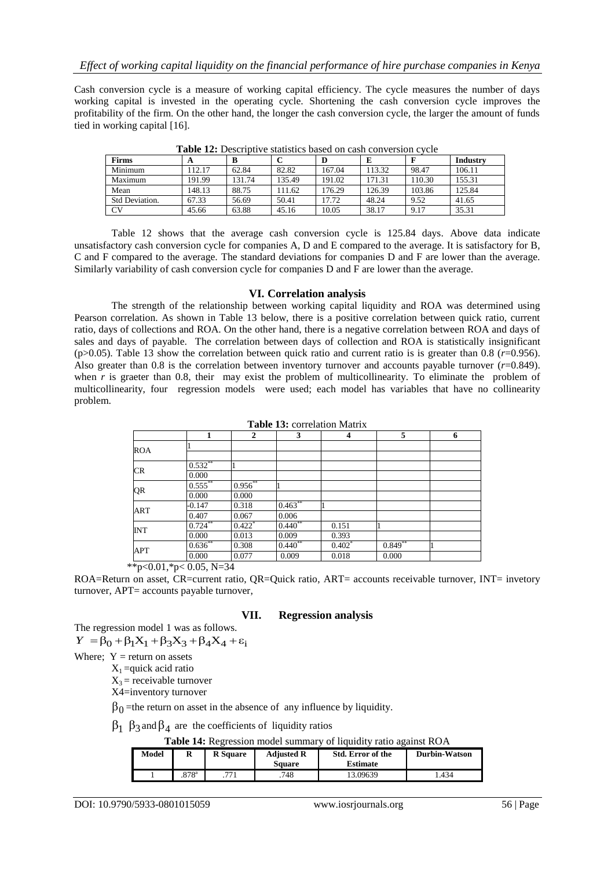Cash conversion cycle is a measure of working capital efficiency. The cycle measures the number of days working capital is invested in the operating cycle. Shortening the cash conversion cycle improves the profitability of the firm. On the other hand, the longer the cash conversion cycle, the larger the amount of funds tied in working capital [16].

| <b>Firms</b>   | A      |        |        | D      |        | F      | Industry |  |  |  |  |  |
|----------------|--------|--------|--------|--------|--------|--------|----------|--|--|--|--|--|
| Minimum        | 112.17 | 62.84  | 82.82  | 167.04 | 113.32 | 98.47  | 106.11   |  |  |  |  |  |
| Maximum        | 191.99 | 131.74 | 135.49 | 191.02 | 171.31 | 110.30 | 155.31   |  |  |  |  |  |
| Mean           | 148.13 | 88.75  | 11.62  | 176.29 | 126.39 | 103.86 | 125.84   |  |  |  |  |  |
| Std Deviation. | 67.33  | 56.69  | 50.41  | 17.72  | 48.24  | 9.52   | 41.65    |  |  |  |  |  |
| CV <sub></sub> | 45.66  | 63.88  | 45.16  | 10.05  | 38.17  | 9.17   | 35.31    |  |  |  |  |  |

**Table 12:** Descriptive statistics based on cash conversion cycle

Table 12 shows that the average cash conversion cycle is 125.84 days. Above data indicate unsatisfactory cash conversion cycle for companies A, D and E compared to the average. It is satisfactory for B, C and F compared to the average. The standard deviations for companies D and F are lower than the average. Similarly variability of cash conversion cycle for companies D and F are lower than the average.

#### **VI. Correlation analysis**

The strength of the relationship between working capital liquidity and ROA was determined using Pearson correlation. As shown in Table 13 below, there is a positive correlation between quick ratio, current ratio, days of collections and ROA. On the other hand, there is a negative correlation between ROA and days of sales and days of payable. The correlation between days of collection and ROA is statistically insignificant (p $>0.05$ ). Table 13 show the correlation between quick ratio and current ratio is is greater than 0.8 ( $r=0.956$ ). Also greater than 0.8 is the correlation between inventory turnover and accounts payable turnover  $(r=0.849)$ . when *r* is graeter than 0.8, their may exist the problem of multicollinearity. To eliminate the problem of multicollinearity, four regression models were used; each model has variables that have no collinearity problem.

|            |            | $\overline{2}$       | 3          | 4        | 5          | 6 |
|------------|------------|----------------------|------------|----------|------------|---|
| <b>ROA</b> |            |                      |            |          |            |   |
|            |            |                      |            |          |            |   |
| CR         | $0.532**$  |                      |            |          |            |   |
|            | 0.000      |                      |            |          |            |   |
| QR         | $0.555***$ | $0.956**$            |            |          |            |   |
|            | 0.000      | 0.000                |            |          |            |   |
| <b>ART</b> | $-0.147$   | 0.318                | $0.463***$ |          |            |   |
|            | 0.407      | 0.067                | 0.006      |          |            |   |
|            | $0.724**$  | $0.422$ <sup>*</sup> | $0.440**$  | 0.151    |            |   |
| <b>INT</b> | 0.000      | 0.013                | 0.009      | 0.393    |            |   |
|            | $0.636**$  | 0.308                | $0.440**$  | $0.402*$ | $0.849***$ |   |
| APT        | 0.000      | 0.077                | 0.009      | 0.018    | 0.000      |   |

**Table 13:** correlation Matrix

\*\*p<0.01,\*p<0.05, N=34

ROA=Return on asset, CR=current ratio, QR=Quick ratio, ART= accounts receivable turnover, INT= invetory turnover, APT= accounts payable turnover,

#### **VII. Regression analysis**

The regression model 1 was as follows.  $Y = \beta_0 + \beta_1 X_1 + \beta_3 X_3 + \beta_4 X_4 + \varepsilon_1$ 

Where;  $Y =$  return on assets

 $X_1$  =quick acid ratio

 $X_3$  = receivable turnover

X4=inventory turnover

 $\beta_0$  =the return on asset in the absence of any influence by liquidity.

 $\beta_1$   $\beta_3$  and  $\beta_4$  are the coefficients of liquidity ratios

**Table 14:** Regression model summary of liquidity ratio against ROA

| Model | л                   | <b>R</b> Square | <b>Adjusted R</b><br>Square | Std. Error of the<br><b>Estimate</b> | Durbin-Watson |
|-------|---------------------|-----------------|-----------------------------|--------------------------------------|---------------|
|       | $.878$ <sup>a</sup> | 771             | .748                        | 13.09639                             | .434          |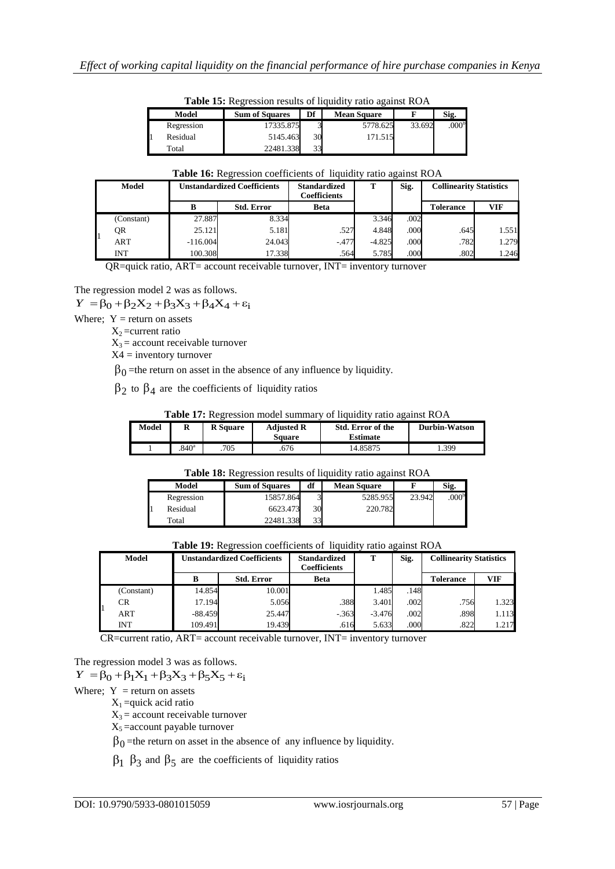|            | <b>Table 15:</b> Regression results of liquidity ratio against ROA |                         |                    |        |                   |
|------------|--------------------------------------------------------------------|-------------------------|--------------------|--------|-------------------|
| Model      | <b>Sum of Squares</b>                                              | Df                      | <b>Mean Square</b> |        | Sig.              |
| Regression | 17335.875                                                          | $\mathbf{\overline{3}}$ | 5778.625           | 33.692 | .000 <sup>b</sup> |
| Residual   | 5145.463                                                           | 30                      | 171.515            |        |                   |
| Total      | 22481.338                                                          | 33                      |                    |        |                   |

**Table 15:** Regression results of liquidity ratio against ROA

#### **Table 16:** Regression coefficients of liquidity ratio against ROA

| <b>Model</b> | <b>Unstandardized Coefficients</b> |                   | <b>Standardized</b><br><b>Coefficients</b> | т        | Sig. | <b>Collinearity Statistics</b> |            |
|--------------|------------------------------------|-------------------|--------------------------------------------|----------|------|--------------------------------|------------|
|              | В                                  | <b>Std. Error</b> | Beta                                       |          |      | <b>Tolerance</b>               | <b>VIF</b> |
| (Constant)   | 27.887                             | 8.334             |                                            | 3.346    | .002 |                                |            |
| QR           | 25.121                             | 5.181             | .527                                       | 4.848    | .000 | .645                           | 1.551      |
| <b>ART</b>   | $-116.004$                         | 24.043            | $-.477$                                    | $-4.825$ | .000 | .782                           | 1.279      |
| INT          | 100.308                            | 17.338            | .564                                       | 5.785    | .000 | .802                           | 1.246      |

QR=quick ratio, ART= account receivable turnover, INT= inventory turnover

The regression model 2 was as follows.

 $Y = \beta_0 + \beta_2 X_2 + \beta_3 X_3 + \beta_4 X_4 + \varepsilon_1$ 

Where;  $Y =$  return on assets

 $X_2$ =current ratio

 $X_3$  = account receivable turnover

X4 = inventory turnover

 $\beta_0$  =the return on asset in the absence of any influence by liquidity.

 $\beta_2$  to  $\beta_4$  are the coefficients of liquidity ratios

**Table 17:** Regression model summary of liquidity ratio against ROA

| Model | R                | <b>R</b> Square | <b>Adjusted R</b><br>Sauare | <b>Std. Error of the</b><br><b>Estimate</b> | Durbin-Watson |
|-------|------------------|-----------------|-----------------------------|---------------------------------------------|---------------|
|       | 840 <sup>a</sup> | 705             | 676                         | 14.85875                                    | . 399         |

**Table 18:** Regression results of liquidity ratio against ROA

| Model      | <b>Sum of Squares</b> | df | <b>Mean Square</b> |        | Sig.              |
|------------|-----------------------|----|--------------------|--------|-------------------|
| Regression | 15857.864             |    | 5285.955           | 23.942 | .000 <sup>b</sup> |
| Residual   | 6623.473              | 30 | 220.782            |        |                   |
| Total      | 22481.338             | 33 |                    |        |                   |

**Table 19:** Regression coefficients of liquidity ratio against ROA

| <b>Model</b> | <b>Unstandardized Coefficients</b> |        | <b>Standardized</b><br>Coefficients | m        | Sig. | <b>Collinearity Statistics</b> |            |
|--------------|------------------------------------|--------|-------------------------------------|----------|------|--------------------------------|------------|
|              | <b>Std. Error</b><br>в             |        | <b>Beta</b>                         |          |      | <b>Tolerance</b>               | <b>VIF</b> |
| (Constant)   | 14.854                             | 10.001 |                                     | 1.485    | .148 |                                |            |
| CR           | 17.194                             | 5.056  | .388                                | 3.401    | .002 | .756                           | 1.323      |
| <b>ART</b>   | $-88.459$                          | 25.447 | $-.363$                             | $-3.476$ | .002 | .898                           | 1.113      |
| <b>INT</b>   | 109.491                            | 19.439 | .616                                | 5.633    | .000 | .822                           | 1.217      |

CR=current ratio, ART= account receivable turnover, INT= inventory turnover

The regression model 3 was as follows.

 $Y = \beta_0 + \beta_1 X_1 + \beta_3 X_3 + \beta_5 X_5 + \varepsilon_1$ 

Where;  $Y =$  return on assets

 $X_1$  =quick acid ratio

 $X_3$  = account receivable turnover

 $X_5$  =account payable turnover

 $\beta_0$  =the return on asset in the absence of any influence by liquidity.

 $\beta_1$   $\beta_3$  and  $\beta_5$  are the coefficients of liquidity ratios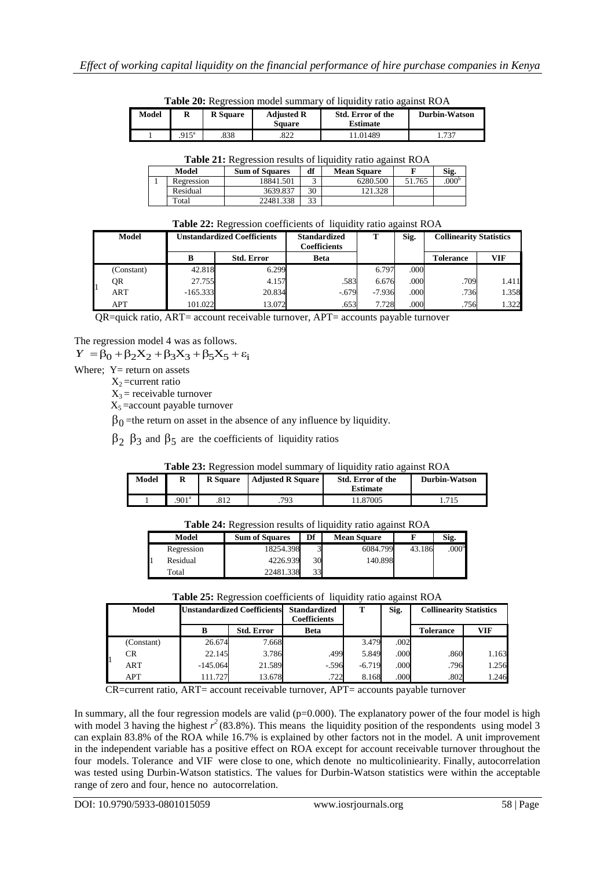|       | <b>Table 20:</b> Regression model summary of liquidity ratio against ROA |                 |                             |                                             |               |  |  |  |
|-------|--------------------------------------------------------------------------|-----------------|-----------------------------|---------------------------------------------|---------------|--|--|--|
| Model | R                                                                        | <b>R</b> Square | <b>Adjusted R</b><br>Square | <b>Std. Error of the</b><br><b>Estimate</b> | Durbin-Watson |  |  |  |
|       | $915^{\circ}$                                                            | 838             | 822                         | 1.01489                                     | .737          |  |  |  |

**Table 20:** Regression model summary of liquidity ratio against ROA

| Table 21: Regression results of liquidity ratio against ROA |  |  |  |
|-------------------------------------------------------------|--|--|--|
|-------------------------------------------------------------|--|--|--|

| Model<br><b>Sum of Squares</b> |            | df        | <b>Mean Square</b> |          | Sig.   |                   |
|--------------------------------|------------|-----------|--------------------|----------|--------|-------------------|
|                                | Regression | 18841.501 |                    | 6280.500 | 51.765 | .000 <sup>b</sup> |
|                                | Residual   | 3639.837  | 30                 | 121.328  |        |                   |
|                                | Total      | 22481.338 | 33                 |          |        |                   |

| Table 22: Regression coefficients of liquidity ratio against ROA |  |  |
|------------------------------------------------------------------|--|--|
|                                                                  |  |  |

|    | <b>Model</b> | <b>Unstandardized Coefficients</b> |                   | <b>Standardized</b><br>Coefficients |          | Sig. | <b>Collinearity Statistics</b> |            |
|----|--------------|------------------------------------|-------------------|-------------------------------------|----------|------|--------------------------------|------------|
|    |              |                                    | <b>Std. Error</b> | <b>Beta</b>                         |          |      | <b>Tolerance</b>               | <b>VIF</b> |
|    | (Constant)   | 42.818                             | 6.299             |                                     | 6.797    | .000 |                                |            |
| H1 | QR           | 27.755                             | 4.157             | .583                                | 6.676    | .000 | .709                           | 1.411      |
|    | ART          | $-165.333$                         | 20.834            | $-.679$                             | $-7.936$ | .000 | .736                           | 1.358      |
|    | <b>APT</b>   | 101.022                            | 13.072            | .653                                | 7.728    | .000 | .756                           | 1.322      |

QR=quick ratio, ART= account receivable turnover, APT= accounts payable turnover

The regression model 4 was as follows.

 $Y = \beta_0 + \beta_2 X_2 + \beta_3 X_3 + \beta_5 X_5 + \varepsilon_1$ 

Where:  $Y =$  return on assets

 $X_2$ =current ratio

 $X_3$  = receivable turnover

 $X_5$  = account payable turnover

 $\beta_0$  =the return on asset in the absence of any influence by liquidity.

 $\beta_2$   $\beta_3$  and  $\beta_5$  are the coefficients of liquidity ratios

#### **Table 23:** Regression model summary of liquidity ratio against ROA

| Model | R                | <b>R</b> Square | <b>Adjusted R Square I</b> | Std. Error of the<br>Estimate |  | <b>Durbin-Watson</b> |  |
|-------|------------------|-----------------|----------------------------|-------------------------------|--|----------------------|--|
|       | 901 <sup>a</sup> | 812             | .793                       | 1.87005                       |  | 1.715                |  |

| <b>Table 24.</b> INCRESSION TUSHIIS OF HUBBLE FAMO ARAHISE INC. |                       |    |                    |        |                   |  |  |
|-----------------------------------------------------------------|-----------------------|----|--------------------|--------|-------------------|--|--|
| Model                                                           | <b>Sum of Squares</b> | Df | <b>Mean Square</b> |        | Sig.              |  |  |
| Regression                                                      | 18254.398             |    | 6084.799           | 43.186 | .000 <sup>b</sup> |  |  |
| Residual                                                        | 4226.939              | 30 | 140.898            |        |                   |  |  |
| Total                                                           | 22481.338             | 33 |                    |        |                   |  |  |

**Table 24:** Regression results of liquidity ratio against ROA

| Table 25: Regression coefficients of liquidity ratio against ROA |  |
|------------------------------------------------------------------|--|
|------------------------------------------------------------------|--|

|  | <b>Model</b> | <b>Unstandardized Coefficients</b> |                   | <b>Standardized</b><br><b>Coefficients</b> | т        | Sig. | <b>Collinearity Statistics</b> |            |
|--|--------------|------------------------------------|-------------------|--------------------------------------------|----------|------|--------------------------------|------------|
|  |              | в                                  | <b>Std. Error</b> | <b>Beta</b>                                |          |      | <b>Tolerance</b>               | <b>VIF</b> |
|  | (Constant)   | 26.674                             | 7.668             |                                            | 3.479    | .002 |                                |            |
|  | CR           | 22.145                             | 3.786             | .499                                       | 5.849    | .000 | .860                           | 1.163      |
|  | <b>ART</b>   | $-145.064$                         | 21.589            | $-.596$                                    | $-6.719$ | .000 | .796                           | 1.256      |
|  | APT          | 111.727                            | 13.678            | .722                                       | 8.168    | .000 | .802                           | 1.246      |

CR=current ratio, ART= account receivable turnover, APT= accounts payable turnover

In summary, all the four regression models are valid ( $p=0.000$ ). The explanatory power of the four model is high with model 3 having the highest  $r^2$  (83.8%). This means the liquidity position of the respondents using model 3 can explain 83.8% of the ROA while 16.7% is explained by other factors not in the model. A unit improvement in the independent variable has a positive effect on ROA except for account receivable turnover throughout the four models. Tolerance and VIF were close to one, which denote no multicoliniearity. Finally, autocorrelation was tested using Durbin-Watson statistics. The values for Durbin-Watson statistics were within the acceptable range of zero and four, hence no autocorrelation.